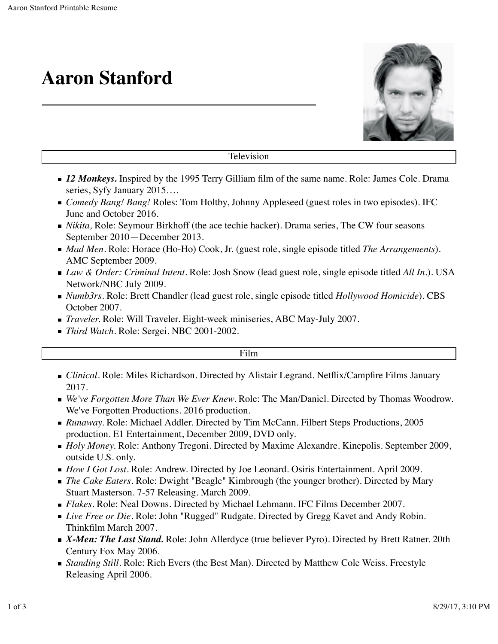# **Aaron Stanford**



Television

- **12 Monkeys.** Inspired by the 1995 Terry Gilliam film of the same name. Role: James Cole. Drama series, Syfy January 2015….
- *Comedy Bang! Bang!* Roles: Tom Holtby, Johnny Appleseed (guest roles in two episodes). IFC June and October 2016.
- *Nikita,* Role: Seymour Birkhoff (the ace techie hacker). Drama series, The CW four seasons September 2010—December 2013.
- *Mad Men.* Role: Horace (Ho-Ho) Cook, Jr. (guest role, single episode titled *The Arrangements*). AMC September 2009.
- *Law & Order: Criminal Intent.* Role: Josh Snow (lead guest role, single episode titled *All In.*). USA Network/NBC July 2009.
- *Numb3rs.* Role: Brett Chandler (lead guest role, single episode titled *Hollywood Homicide*). CBS October 2007.
- *Traveler.* Role: Will Traveler. Eight-week miniseries, ABC May-July 2007.
- *Third Watch.* Role: Sergei. NBC 2001-2002.

### Film

- *Clinical.* Role: Miles Richardson. Directed by Alistair Legrand. Netflix/Campfire Films January 2017.
- *We've Forgotten More Than We Ever Knew.* Role: The Man/Daniel. Directed by Thomas Woodrow. We've Forgotten Productions. 2016 production.
- *Runaway.* Role: Michael Addler. Directed by Tim McCann. Filbert Steps Productions, 2005 production. E1 Entertainment, December 2009, DVD only.
- *Holy Money*. Role: Anthony Tregoni. Directed by Maxime Alexandre. Kinepolis. September 2009, outside U.S. only.
- *How I Got Lost.* Role: Andrew. Directed by Joe Leonard. Osiris Entertainment. April 2009.
- **The Cake Eaters. Role: Dwight "Beagle" Kimbrough (the younger brother). Directed by Mary** Stuart Masterson. 7-57 Releasing. March 2009.
- *Flakes*. Role: Neal Downs. Directed by Michael Lehmann. IFC Films December 2007.
- *Live Free or Die.* Role: John "Rugged" Rudgate. Directed by Gregg Kavet and Andy Robin. Thinkfilm March 2007.
- *X-Men: The Last Stand.* Role: John Allerdyce (true believer Pyro). Directed by Brett Ratner. 20th Century Fox May 2006.
- **F** Standing Still. Role: Rich Evers (the Best Man). Directed by Matthew Cole Weiss. Freestyle Releasing April 2006.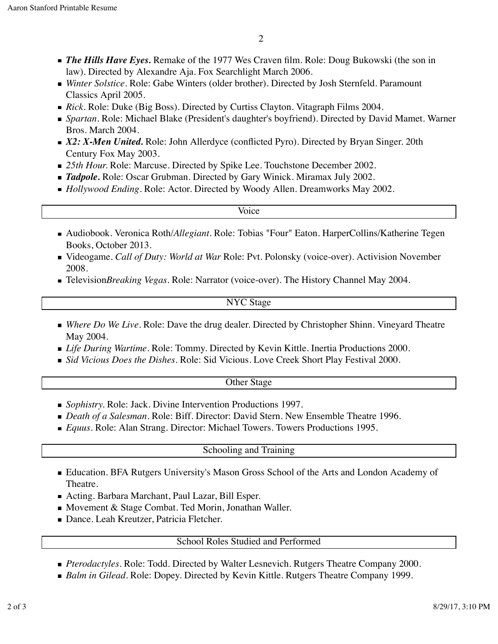- *The Hills Have Eyes.* Remake of the 1977 Wes Craven film. Role: Doug Bukowski (the son in law). Directed by Alexandre Aja. Fox Searchlight March 2006.
- *Winter Solstice.* Role: Gabe Winters (older brother). Directed by Josh Sternfeld. Paramount Classics April 2005.
- *Rick.* Role: Duke (Big Boss). Directed by Curtiss Clayton. Vitagraph Films 2004.
- *Spartan.* Role: Michael Blake (President's daughter's boyfriend). Directed by David Mamet. Warner Bros. March 2004.
- *X2: X-Men United.* Role: John Allerdyce (conflicted Pyro). Directed by Bryan Singer. 20th Century Fox May 2003.
- 25th Hour. Role: Marcuse. Directed by Spike Lee. Touchstone December 2002.
- **Tadpole.** Role: Oscar Grubman. Directed by Gary Winick. Miramax July 2002.
- *Hollywood Ending.* Role: Actor. Directed by Woody Allen. Dreamworks May 2002.

### Voice

- Audiobook. Veronica Roth/*Allegiant*. Role: Tobias "Four" Eaton. HarperCollins/Katherine Tegen Books, October 2013.
- Videogame. *Call of Duty: World at War* Role: Pvt. Polonsky (voice-over). Activision November 2008.
- Television*Breaking Vegas.* Role: Narrator (voice-over). The History Channel May 2004.

## NYC Stage

- *Where Do We Live.* Role: Dave the drug dealer. Directed by Christopher Shinn. Vineyard Theatre May 2004.
- *Life During Wartime.* Role: Tommy. Directed by Kevin Kittle. Inertia Productions 2000.
- *Sid Vicious Does the Dishes.* Role: Sid Vicious. Love Creek Short Play Festival 2000.

# Other Stage

- *Sophistry.* Role: Jack. Divine Intervention Productions 1997.
- *Death of a Salesman.* Role: Biff. Director: David Stern. New Ensemble Theatre 1996.
- *Equus.* Role: Alan Strang. Director: Michael Towers. Towers Productions 1995.

# Schooling and Training

- Education. BFA Rutgers University's Mason Gross School of the Arts and London Academy of Theatre.
- Acting. Barbara Marchant, Paul Lazar, Bill Esper.
- Movement & Stage Combat. Ted Morin, Jonathan Waller.
- Dance. Leah Kreutzer, Patricia Fletcher.

# School Roles Studied and Performed

- *Pterodactyles.* Role: Todd. Directed by Walter Lesnevich. Rutgers Theatre Company 2000.
- *Balm in Gilead.* Role: Dopey. Directed by Kevin Kittle. Rutgers Theatre Company 1999.